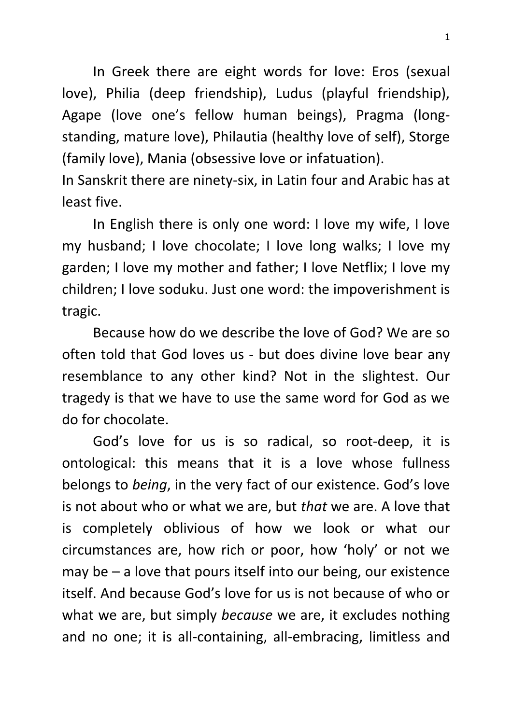In Greek there are eight words for love: Eros (sexual love), Philia (deep friendship), Ludus (playful friendship), Agape (love one's fellow human beings), Pragma (longstanding, mature love), Philautia (healthy love of self), Storge (family love), Mania (obsessive love or infatuation).

In Sanskrit there are ninety-six, in Latin four and Arabic has at least five.

In English there is only one word: I love my wife, I love my husband; I love chocolate; I love long walks; I love my garden; I love my mother and father; I love Netflix; I love my children; I love soduku. Just one word: the impoverishment is tragic.

Because how do we describe the love of God? We are so often told that God loves us - but does divine love bear any resemblance to any other kind? Not in the slightest. Our tragedy is that we have to use the same word for God as we do for chocolate.

God's love for us is so radical, so root-deep, it is ontological: this means that it is a love whose fullness belongs to *being*, in the very fact of our existence. God's love is not about who or what we are, but *that* we are. A love that is completely oblivious of how we look or what our circumstances are, how rich or poor, how 'holy' or not we may be – a love that pours itself into our being, our existence itself. And because God's love for us is not because of who or what we are, but simply *because* we are, it excludes nothing and no one; it is all-containing, all-embracing, limitless and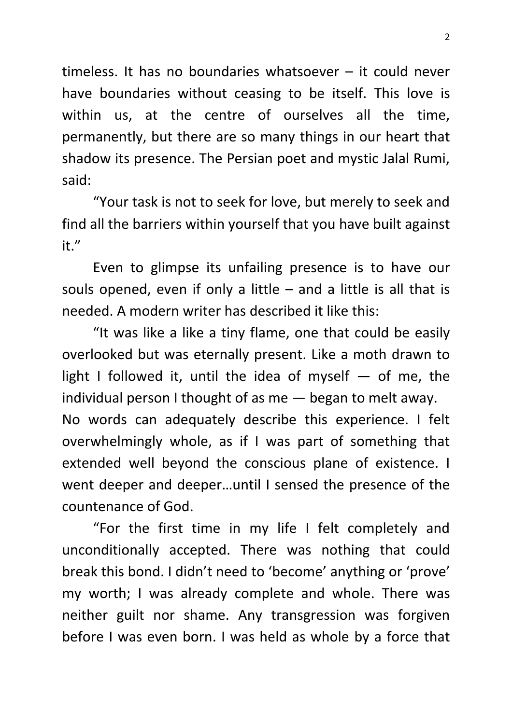timeless. It has no boundaries whatsoever – it could never have boundaries without ceasing to be itself. This love is within us, at the centre of ourselves all the time, permanently, but there are so many things in our heart that shadow its presence. The Persian poet and mystic Jalal Rumi, said:

"Your task is not to seek for love, but merely to seek and find all the barriers within yourself that you have built against it."

Even to glimpse its unfailing presence is to have our souls opened, even if only a little  $-$  and a little is all that is needed. A modern writer has described it like this:

"It was like a like a tiny flame, one that could be easily overlooked but was eternally present. Like a moth drawn to light I followed it, until the idea of myself  $-$  of me, the individual person I thought of as me — began to melt away. No words can adequately describe this experience. I felt overwhelmingly whole, as if I was part of something that extended well beyond the conscious plane of existence. I went deeper and deeper…until I sensed the presence of the countenance of God.

"For the first time in my life I felt completely and unconditionally accepted. There was nothing that could break this bond. I didn't need to 'become' anything or 'prove' my worth; I was already complete and whole. There was neither guilt nor shame. Any transgression was forgiven before I was even born. I was held as whole by a force that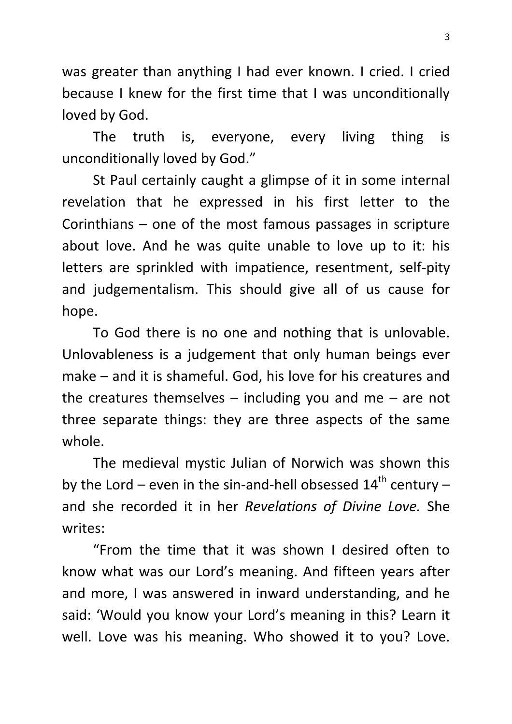was greater than anything I had ever known. I cried. I cried because I knew for the first time that I was unconditionally loved by God.

The truth is, everyone, every living thing is unconditionally loved by God."

St Paul certainly caught a glimpse of it in some internal revelation that he expressed in his first letter to the Corinthians – one of the most famous passages in scripture about love. And he was quite unable to love up to it: his letters are sprinkled with impatience, resentment, self-pity and judgementalism. This should give all of us cause for hope.

To God there is no one and nothing that is unlovable. Unlovableness is a judgement that only human beings ever make – and it is shameful. God, his love for his creatures and the creatures themselves  $-$  including you and me  $-$  are not three separate things: they are three aspects of the same whole.

The medieval mystic Julian of Norwich was shown this by the Lord – even in the sin-and-hell obsessed  $14<sup>th</sup>$  century – and she recorded it in her *Revelations of Divine Love.* She writes:

"From the time that it was shown I desired often to know what was our Lord's meaning. And fifteen years after and more, I was answered in inward understanding, and he said: 'Would you know your Lord's meaning in this? Learn it well. Love was his meaning. Who showed it to you? Love.